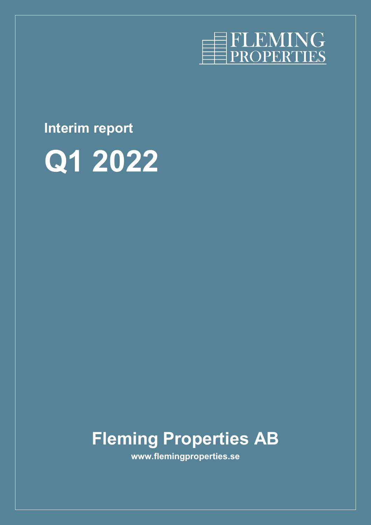

# **Interim report**



# **Fleming Properties AB**

**www.flemingproperties.se**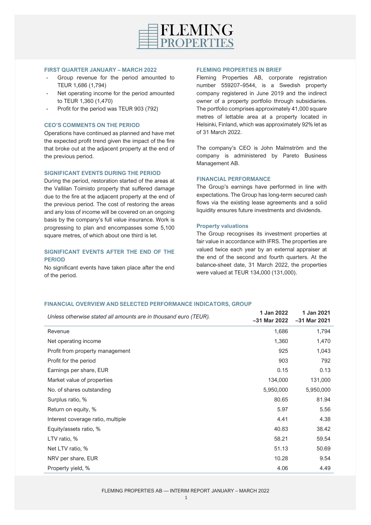

#### **FIRST QUARTER JANUARY – MARCH 2022**

- Group revenue for the period amounted to TEUR 1,686 (1,794)
- Net operating income for the period amounted to TEUR 1,360 (1,470)
- Profit for the period was TEUR 903 (792)

## **CEO'S COMMENTS ON THE PERIOD**

Operations have continued as planned and have met the expected profit trend given the impact of the fire that broke out at the adjacent property at the end of the previous period.

#### **SIGNIFICANT EVENTS DURING THE PERIOD**

During the period, restoration started of the areas at the Vallilan Toimisto property that suffered damage due to the fire at the adjacent property at the end of the previous period. The cost of restoring the areas and any loss of income will be covered on an ongoing basis by the company's full value insurance. Work is progressing to plan and encompasses some 5,100 square metres, of which about one third is let.

# **SIGNIFICANT EVENTS AFTER THE END OF THE PERIOD**

No significant events have taken place after the end of the period.

#### **FLEMING PROPERTIES IN BRIEF**

Fleming Properties AB, corporate registration number 559207–9544, is a Swedish property company registered in June 2019 and the indirect owner of a property portfolio through subsidiaries. The portfolio comprises approximately 41,000 square metres of lettable area at a property located in Helsinki, Finland, which was approximately 92% let as of 31 March 2022.

The company's CEO is John Malmström and the company is administered by Pareto Business Management AB.

#### **FINANCIAL PERFORMANCE**

The Group's earnings have performed in line with expectations. The Group has long-term secured cash flows via the existing lease agreements and a solid liquidity ensures future investments and dividends.

#### **Property valuations**

The Group recognises its investment properties at fair value in accordance with IFRS. The properties are valued twice each year by an external appraiser at the end of the second and fourth quarters. At the balance-sheet date, 31 March 2022, the properties were valued at TEUR 134,000 (131,000).

# **FINANCIAL OVERVIEW AND SELECTED PERFORMANCE INDICATORS, GROUP**

| Unless otherwise stated all amounts are in thousand euro (TEUR). | 1 Jan 2022<br>-31 Mar 2022 | 1 Jan 2021<br>$-31$ Mar 2021 |
|------------------------------------------------------------------|----------------------------|------------------------------|
| Revenue                                                          | 1,686                      | 1,794                        |
| Net operating income                                             | 1,360                      | 1,470                        |
| Profit from property management                                  | 925                        | 1,043                        |
| Profit for the period                                            | 903                        | 792                          |
| Earnings per share, EUR                                          | 0.15                       | 0.13                         |
| Market value of properties                                       | 134,000                    | 131,000                      |
| No. of shares outstanding                                        | 5,950,000                  | 5,950,000                    |
| Surplus ratio, %                                                 | 80.65                      | 81.94                        |
| Return on equity, %                                              | 5.97                       | 5.56                         |
| Interest coverage ratio, multiple                                | 4.41                       | 4.38                         |
| Equity/assets ratio, %                                           | 40.83                      | 38.42                        |
| LTV ratio, %                                                     | 58.21                      | 59.54                        |
| Net LTV ratio, %                                                 | 51.13                      | 50.69                        |
| NRV per share, EUR                                               | 10.28                      | 9.54                         |
| Property yield, %                                                | 4.06                       | 4.49                         |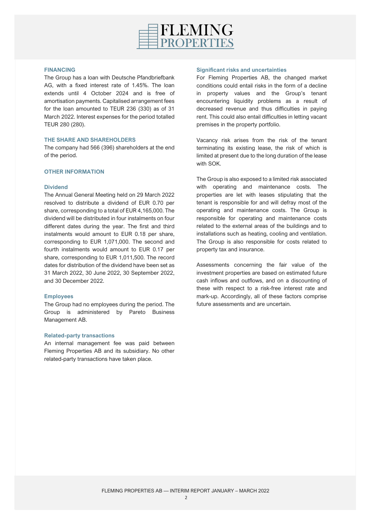

#### **FINANCING**

The Group has a loan with Deutsche Pfandbriefbank AG, with a fixed interest rate of 1.45%. The loan extends until 4 October 2024 and is free of amortisation payments. Capitalised arrangement fees for the loan amounted to TEUR 236 (330) as of 31 March 2022. Interest expenses for the period totalled TEUR 280 (280).

# **THE SHARE AND SHAREHOLDERS**

The company had 566 (396) shareholders at the end of the period.

# **OTHER INFORMATION**

#### **Dividend**

The Annual General Meeting held on 29 March 2022 resolved to distribute a dividend of EUR 0.70 per share, corresponding to a total of EUR 4,165,000. The dividend will be distributed in four instalments on four different dates during the year. The first and third instalments would amount to EUR 0.18 per share, corresponding to EUR 1,071,000. The second and fourth instalments would amount to EUR 0.17 per share, corresponding to EUR 1,011,500. The record dates for distribution of the dividend have been set as 31 March 2022, 30 June 2022, 30 September 2022, and 30 December 2022.

# **Employees**

The Group had no employees during the period. The Group is administered by Pareto Business Management AB.

#### **Related-party transactions**

An internal management fee was paid between Fleming Properties AB and its subsidiary. No other related-party transactions have taken place.

#### **Significant risks and uncertainties**

For Fleming Properties AB, the changed market conditions could entail risks in the form of a decline in property values and the Group's tenant encountering liquidity problems as a result of decreased revenue and thus difficulties in paying rent. This could also entail difficulties in letting vacant premises in the property portfolio.

Vacancy risk arises from the risk of the tenant terminating its existing lease, the risk of which is limited at present due to the long duration of the lease with SOK.

The Group is also exposed to a limited risk associated with operating and maintenance costs. The properties are let with leases stipulating that the tenant is responsible for and will defray most of the operating and maintenance costs. The Group is responsible for operating and maintenance costs related to the external areas of the buildings and to installations such as heating, cooling and ventilation. The Group is also responsible for costs related to property tax and insurance.

Assessments concerning the fair value of the investment properties are based on estimated future cash inflows and outflows, and on a discounting of these with respect to a risk-free interest rate and mark-up. Accordingly, all of these factors comprise future assessments and are uncertain.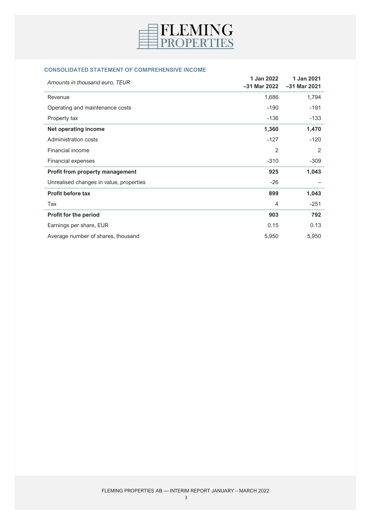

# **CONSOLIDATED STATEMENT OF COMPREHENSIVE INCOME**

| Amounts in thousand euro, TEUR          | 1 Jan 2022<br>$-31$ Mar 2022 | 1 Jan 2021<br>$-31$ Mar 2021 |
|-----------------------------------------|------------------------------|------------------------------|
| Revenue                                 | 1,686                        | 1,794                        |
| Operating and maintenance costs         | $-190$                       | $-191$                       |
| Property tax                            | $-136$                       | $-133$                       |
| <b>Net operating income</b>             | 1,360                        | 1,470                        |
| Administration costs                    | $-127$                       | $-120$                       |
| Financial income                        | 2                            | 2                            |
| Financial expenses                      | $-310$                       | $-309$                       |
| Profit from property management         | 925                          | 1,043                        |
| Unrealised changes in value, properties | $-26$                        |                              |
| <b>Profit before tax</b>                | 899                          | 1,043                        |
| Tax                                     | 4                            | $-251$                       |
| Profit for the period                   | 903                          | 792                          |
| Earnings per share, EUR                 | 0.15                         | 0.13                         |
| Average number of shares, thousand      | 5,950                        | 5,950                        |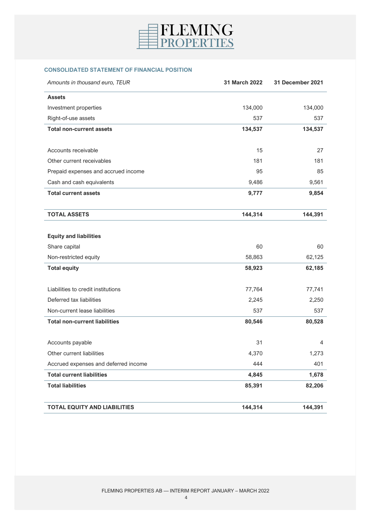

# **CONSOLIDATED STATEMENT OF FINANCIAL POSITION**

| Amounts in thousand euro, TEUR                           | 31 March 2022 | 31 December 2021 |
|----------------------------------------------------------|---------------|------------------|
| <b>Assets</b>                                            |               |                  |
| Investment properties                                    | 134,000       | 134,000          |
| Right-of-use assets                                      | 537           | 537              |
| <b>Total non-current assets</b>                          | 134,537       | 134,537          |
| Accounts receivable                                      | 15            | 27               |
| Other current receivables                                | 181           | 181              |
|                                                          | 95            | 85               |
| Prepaid expenses and accrued income                      | 9,486         | 9,561            |
| Cash and cash equivalents<br><b>Total current assets</b> | 9,777         | 9,854            |
|                                                          |               |                  |
| <b>TOTAL ASSETS</b>                                      | 144,314       | 144,391          |
|                                                          |               |                  |
| <b>Equity and liabilities</b>                            |               |                  |
| Share capital                                            | 60            | 60               |
| Non-restricted equity                                    | 58,863        | 62,125           |
| <b>Total equity</b>                                      | 58,923        | 62,185           |
| Liabilities to credit institutions                       | 77,764        | 77,741           |
| Deferred tax liabilities                                 | 2,245         | 2,250            |
| Non-current lease liabilities                            | 537           | 537              |
| <b>Total non-current liabilities</b>                     | 80,546        | 80,528           |
| Accounts payable                                         | 31            | 4                |
| Other current liabilities                                | 4,370         | 1,273            |
| Accrued expenses and deferred income                     | 444           | 401              |
| <b>Total current liabilities</b>                         | 4,845         | 1,678            |
| <b>Total liabilities</b>                                 | 85,391        | 82,206           |
| <b>TOTAL EQUITY AND LIABILITIES</b>                      | 144,314       | 144,391          |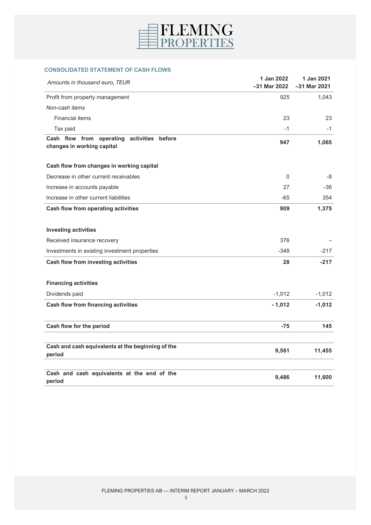

# **CONSOLIDATED STATEMENT OF CASH FLOWS**

| Amounts in thousand euro, TEUR                                                 | 1 Jan 2022<br>$-31$ Mar 2022 | 1 Jan 2021<br>-31 Mar 2021 |
|--------------------------------------------------------------------------------|------------------------------|----------------------------|
| Profit from property management                                                | 925                          | 1,043                      |
| Non-cash items                                                                 |                              |                            |
| <b>Financial items</b>                                                         | 23                           | 23                         |
| Tax paid                                                                       | $-1$                         | -1                         |
| Cash flow from operating<br>activities<br>before<br>changes in working capital | 947                          | 1,065                      |
| Cash flow from changes in working capital                                      |                              |                            |
| Decrease in other current receivables                                          | $\Omega$                     | -8                         |
| Increase in accounts payable                                                   | 27                           | -36                        |
| Increase in other current liabilities                                          | $-65$                        | 354                        |
| <b>Cash flow from operating activities</b>                                     | 909                          | 1,375                      |
| <b>Investing activities</b>                                                    |                              |                            |
| Received insurance recovery                                                    | 376                          |                            |
| Investments in existing investment properties                                  | $-348$                       | $-217$                     |
| Cash flow from investing activities                                            | 28                           | $-217$                     |
| <b>Financing activities</b>                                                    |                              |                            |
| Dividends paid                                                                 | $-1,012$                     | $-1,012$                   |
| <b>Cash flow from financing activities</b>                                     | $-1,012$                     | $-1,012$                   |
| Cash flow for the period                                                       | $-75$                        | 145                        |
| Cash and cash equivalents at the beginning of the                              |                              |                            |
| period                                                                         | 9,561                        | 11,455                     |
| Cash and cash equivalents at the end of the<br>period                          | 9,486                        | 11,600                     |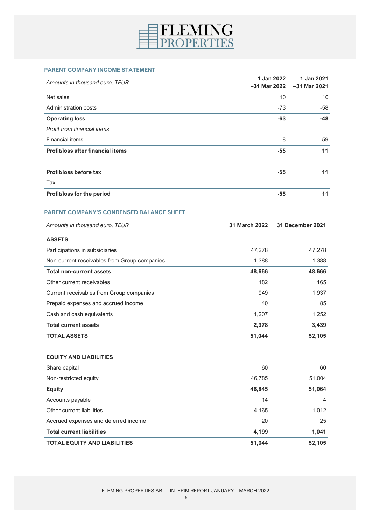

#### **PARENT COMPANY INCOME STATEMENT**

|                                          | 1 Jan 2022   | 1 Jan 2021     |
|------------------------------------------|--------------|----------------|
| Amounts in thousand euro, TEUR           | -31 Mar 2022 | $-31$ Mar 2021 |
| Net sales                                | 10           | 10             |
| Administration costs                     | $-73$        | $-58$          |
| <b>Operating loss</b>                    | $-63$        | $-48$          |
| Profit from financial items              |              |                |
| <b>Financial items</b>                   | 8            | 59             |
| <b>Profit/loss after financial items</b> | $-55$        | 11             |
|                                          |              |                |
| Profit/loss before tax                   | $-55$        | 11             |
| Tax                                      |              |                |
| Profit/loss for the period               | $-55$        | 11             |

# **PARENT COMPANY'S CONDENSED BALANCE SHEET**

| Amounts in thousand euro, TEUR               | 31 March 2022 | 31 December 2021 |
|----------------------------------------------|---------------|------------------|
| <b>ASSETS</b>                                |               |                  |
| Participations in subsidiaries               | 47,278        | 47,278           |
| Non-current receivables from Group companies | 1,388         | 1,388            |
| <b>Total non-current assets</b>              | 48,666        | 48,666           |
| Other current receivables                    | 182           | 165              |
| Current receivables from Group companies     | 949           | 1,937            |
| Prepaid expenses and accrued income          | 40            | 85               |
| Cash and cash equivalents                    | 1,207         | 1,252            |
| <b>Total current assets</b>                  | 2,378         | 3,439            |
| <b>TOTAL ASSETS</b>                          | 51,044        | 52,105           |

#### **EQUITY AND LIABILITIES**

| Share capital                        | 60     | 60             |
|--------------------------------------|--------|----------------|
| Non-restricted equity                | 46.785 | 51,004         |
| <b>Equity</b>                        | 46,845 | 51,064         |
| Accounts payable                     | 14     | $\overline{4}$ |
| Other current liabilities            | 4,165  | 1,012          |
| Accrued expenses and deferred income | 20     | 25             |
| <b>Total current liabilities</b>     | 4,199  | 1,041          |
| <b>TOTAL EQUITY AND LIABILITIES</b>  | 51,044 | 52,105         |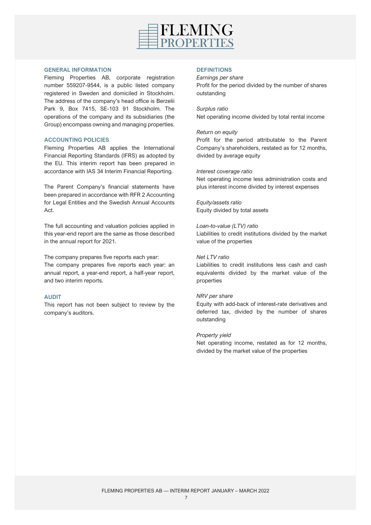

#### **GENERAL INFORMATION**

Fleming Properties AB, corporate registration number 559207-9544, is a public listed company registered in Sweden and domiciled in Stockholm. The address of the company's head office is Berzelii Park 9, Box 7415, SE-103 91 Stockholm. The operations of the company and its subsidiaries (the Group) encompass owning and managing properties.

# **ACCOUNTING POLICIES**

Fleming Properties AB applies the International Financial Reporting Standards (IFRS) as adopted by the EU. This interim report has been prepared in accordance with IAS 34 Interim Financial Reporting.

The Parent Company's financial statements have been prepared in accordance with RFR 2 Accounting for Legal Entities and the Swedish Annual Accounts Act.

The full accounting and valuation policies applied in this year-end report are the same as those described in the annual report for 2021.

The company prepares five reports each year: The company prepares five reports each year: an annual report, a year-end report, a half-year report, and two interim reports.

# **AUDIT**

This report has not been subject to review by the company's auditors.

### **DEFINITIONS**

*Earnings per share* Profit for the period divided by the number of shares outstanding

*Surplus ratio* Net operating income divided by total rental income

#### *Return on equity*

Profit for the period attributable to the Parent Company's shareholders, restated as for 12 months, divided by average equity

#### *Interest coverage ratio*

Net operating income less administration costs and plus interest income divided by interest expenses

*Equity/assets ratio* Equity divided by total assets

### *Loan-to-value (LTV) ratio*

Liabilities to credit institutions divided by the market value of the properties

#### *Net LTV ratio*

Liabilities to credit institutions less cash and cash equivalents divided by the market value of the properties

#### *NRV per share*

Equity with add-back of interest-rate derivatives and deferred tax, divided by the number of shares outstanding

#### *Property yield*

Net operating income, restated as for 12 months, divided by the market value of the properties